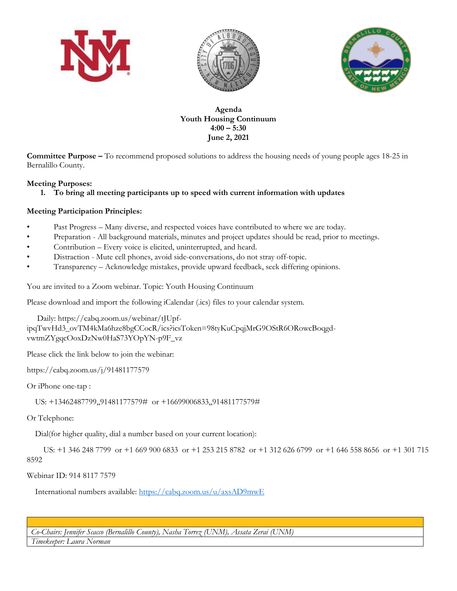





**Agenda Youth Housing Continuum 4:00 – 5:30 June 2, 2021**

**Committee Purpose –** To recommend proposed solutions to address the housing needs of young people ages 18-25 in Bernalillo County.

## **Meeting Purposes:**

**1. To bring all meeting participants up to speed with current information with updates**

## **Meeting Participation Principles:**

- Past Progress Many diverse, and respected voices have contributed to where we are today.
- Preparation All background materials, minutes and project updates should be read, prior to meetings.
- Contribution Every voice is elicited, uninterrupted, and heard.
- Distraction Mute cell phones, avoid side-conversations, do not stray off-topic.
- Transparency Acknowledge mistakes, provide upward feedback, seek differing opinions.

You are invited to a Zoom webinar. Topic: Youth Housing Continuum

Please download and import the following iCalendar (.ics) files to your calendar system.

 Daily: https://cabq.zoom.us/webinar/tJUpfipqTwvHd3\_ovTM4kMa6hze8bgCCocR/ics?icsToken=98tyKuCpqjMrG9OStR6ORowcBoqgdvwtmZYgqcOoxDzNw0HaS73YOpYN-p9F\_vz

Please click the link below to join the webinar:

https://cabq.zoom.us/j/91481177579

Or iPhone one-tap :

US: +13462487799,,91481177579# or +16699006833,,91481177579#

Or Telephone:

Dial(for higher quality, dial a number based on your current location):

 US: +1 346 248 7799 or +1 669 900 6833 or +1 253 215 8782 or +1 312 626 6799 or +1 646 558 8656 or +1 301 715 8592

Webinar ID: 914 8117 7579

International numbers available:<https://cabq.zoom.us/u/axsAD9mwE>

*Co-Chairs: Jennifer Scacco (Bernalillo County), Nasha Torrez (UNM), Assata Zerai (UNM)*

*Timekeeper: Laura Norman*